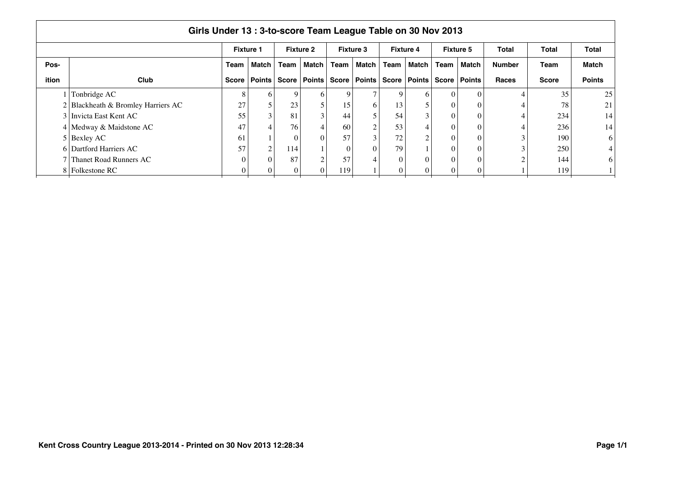|              | Girls Under 13: 3-to-score Team League Table on 30 Nov 2013 |                  |               |              |                  |      |                  |              |                  |                 |                  |               |              |                 |  |
|--------------|-------------------------------------------------------------|------------------|---------------|--------------|------------------|------|------------------|--------------|------------------|-----------------|------------------|---------------|--------------|-----------------|--|
|              |                                                             | <b>Fixture 1</b> |               |              | <b>Fixture 2</b> |      | <b>Fixture 3</b> |              | <b>Fixture 4</b> |                 | <b>Fixture 5</b> | Total         | Total        | Total           |  |
| Pos-         |                                                             | Team             | Match I       | Team         | <b>Match</b>     | Team | Match            | Team         | Match I          | Team            | Match            | <b>Number</b> | <b>Team</b>  | <b>Match</b>    |  |
| <b>ition</b> | <b>Club</b>                                                 | Score            | <b>Points</b> | <b>Score</b> | <b>Points</b>    |      | Score   Points   | <b>Score</b> | Points Score     |                 | <b>Points</b>    | <b>Races</b>  | <b>Score</b> | <b>Points</b>   |  |
|              | Tonbridge AC                                                |                  | <sub>0</sub>  | $\mathbf Q$  | 6                |      |                  | $\mathbf Q$  | 6                | $\Omega$        |                  |               | 35           | 25              |  |
|              | Blackheath & Bromley Harriers AC                            | 27               |               | 23           | 5                | 15   | <sub>0</sub>     | 13           | 5                | $\theta$        |                  |               | 78           | 21              |  |
|              | 3 Invicta East Kent AC                                      | 55               | 3             | 81           | 3                | 44   |                  | 54           | 3                | $\theta$        |                  |               | 234          | 14              |  |
|              | 4 Medway & Maidstone AC                                     | 47               |               | 76           | 4                | 60   |                  | 53           | $\overline{4}$   | $\theta$        |                  |               | 236          | 14              |  |
|              | $5$ Bexley AC                                               | 61               |               |              | 0                | 57   |                  | 72           | $\overline{c}$   | $\vert 0 \vert$ |                  |               | 190          | 6               |  |
|              | 6 Dartford Harriers AC                                      | 57               | $\sim$        | 114          |                  |      | $\Omega$         | 79           |                  | $\Omega$        |                  |               | 250          | $\vert 4 \vert$ |  |
|              | Thanet Road Runners AC                                      |                  | $\Omega$      | 87           | 2                | 57   |                  | $\Omega$     | $\theta$         | $\Omega$        |                  |               | 144          | 6               |  |
|              | 8 Folkestone RC                                             |                  |               |              |                  | 119  |                  |              | $\theta$         | $\Omega$        |                  |               | 119          |                 |  |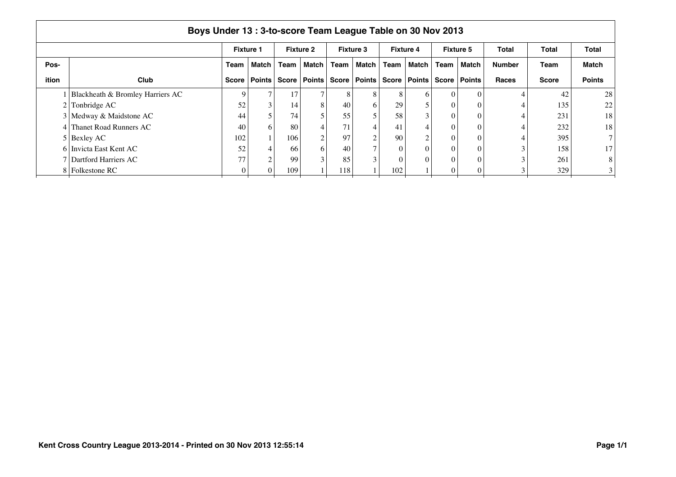|              | Boys Under 13: 3-to-score Team League Table on 30 Nov 2013 |                  |                |       |                  |      |                          |          |                  |                |                  |               |              |                 |  |
|--------------|------------------------------------------------------------|------------------|----------------|-------|------------------|------|--------------------------|----------|------------------|----------------|------------------|---------------|--------------|-----------------|--|
|              |                                                            | <b>Fixture 1</b> |                |       | <b>Fixture 2</b> |      | <b>Fixture 3</b>         |          | <b>Fixture 4</b> |                | <b>Fixture 5</b> | Total         | Total        | Total           |  |
| Pos-         |                                                            | Team             | Match I        | Team  | <b>Match</b>     | Team | Match                    | Team     | Match            | Team           | Match            | <b>Number</b> | Team         | <b>Match</b>    |  |
| <b>ition</b> | Club                                                       | Score            | Points         | Score | <b>Points</b>    |      | Score   Points           |          | Score   Points   | <b>Score</b>   | <b>Points</b>    | <b>Races</b>  | <b>Score</b> | <b>Points</b>   |  |
|              | Blackheath & Bromley Harriers AC                           | Q                |                | 17    |                  | 8    | 8                        |          | 6                | $\Omega$       |                  |               | 42           | 28              |  |
|              | Tonbridge AC                                               | 52               | 3              | 14    | 8                | 40   | 6                        | 29       |                  | $\theta$       |                  |               | 135          | 22              |  |
|              | 3 Medway & Maidstone AC                                    | 44               |                | 74    |                  | 55   |                          | 58       | 3                | $\Omega$       |                  |               | 231          | 18              |  |
|              | Thanet Road Runners AC                                     | 40               | 6.             | 80    | 4                | 71   | $\overline{\mathcal{A}}$ | -41      | 4                | $\theta$       |                  |               | 232          | 18              |  |
|              | $5$ Bexley AC                                              | 102              |                | 106   | 2                | 97   | $\sim$                   | 90       | $\mathcal{L}$    | $\Omega$       |                  |               | 395          | 7 <sup>1</sup>  |  |
|              | 6 Invicta East Kent AC                                     | 52               | $\overline{4}$ | -66   | 6                | 40   | −                        | 0        | $\theta$         | $\overline{0}$ |                  |               | 158          | 17 <sup>1</sup> |  |
|              | 7 Dartford Harriers AC                                     | 77               | ⌒              | 99    | $\mathcal{E}$    | 85   | $\bigcap$                | $\Omega$ | $\Omega$         | $\Omega$       |                  |               | 261          | 8 <sup>1</sup>  |  |
|              | 8 Folkestone RC                                            |                  |                | 109   |                  | 118  |                          | 102      |                  |                |                  |               | 329          | 3 <sup>1</sup>  |  |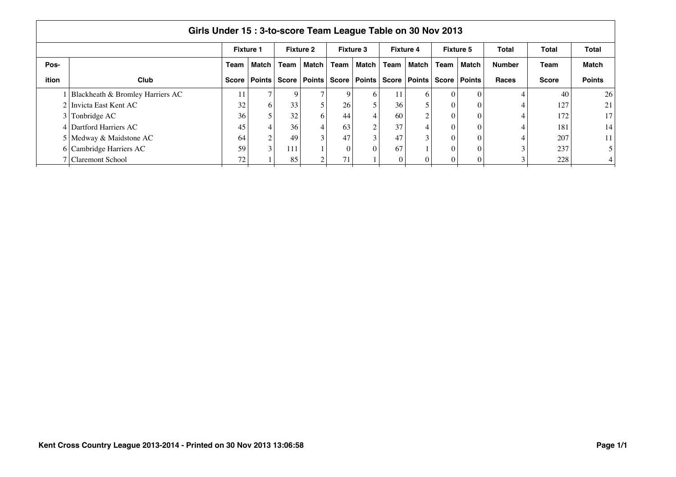| Girls Under 15:3-to-score Team League Table on 30 Nov 2013 |                                  |                  |               |              |                  |                 |                  |      |                  |          |                  |               |              |                |
|------------------------------------------------------------|----------------------------------|------------------|---------------|--------------|------------------|-----------------|------------------|------|------------------|----------|------------------|---------------|--------------|----------------|
|                                                            |                                  | <b>Fixture 1</b> |               |              | <b>Fixture 2</b> |                 | <b>Fixture 3</b> |      | <b>Fixture 4</b> |          | <b>Fixture 5</b> | Total         | Total        | <b>Total</b>   |
| Pos-                                                       |                                  | Team             | Match I       | Team         | Match            | Team            | Match            | Team | Match            | Team     | Match            | <b>Number</b> | Team         | <b>Match</b>   |
| ition                                                      | <b>Club</b>                      | Score            | <b>Points</b> | <b>Score</b> | Points           |                 | Score   Points   |      | Score   Points   | Score    | ∣ Points         | Races         | <b>Score</b> | <b>Points</b>  |
|                                                            | Blackheath & Bromley Harriers AC |                  | Ξ             | 9            |                  | 9               | <sub>6</sub>     |      | 6                | 0        |                  |               | 40           | 26             |
|                                                            | 2 Invicta East Kent AC           | 32               | 6             | 33           |                  | 26 <sub>1</sub> |                  | 36   |                  | 0        |                  |               | 127          | 21             |
|                                                            | $3$ Tonbridge AC                 | 36               |               | 32           | 6                | 44              | 4                | 60   | $\sim$           | 0        |                  |               | 172          | 17             |
|                                                            | 4 Dartford Harriers AC           | 45               |               | 36           |                  | 63              | ◠                | 37   | 4                | $\Omega$ |                  |               | 181          | 14             |
|                                                            | 5 Medway & Maidstone AC          | 64               | $\bigcap$     | 49           |                  | 47              |                  | 47   | $\sim$           | 0        |                  |               | 207          | 11             |
|                                                            | 6 Cambridge Harriers AC          | 59               | 3             | 111          |                  | $\Omega$        | $\Omega$         | 67   |                  | $\Omega$ |                  |               | 237          | 5 <sup>5</sup> |
|                                                            | Claremont School                 | 72               |               | 85           |                  |                 |                  |      |                  |          |                  |               | 228          | $\overline{4}$ |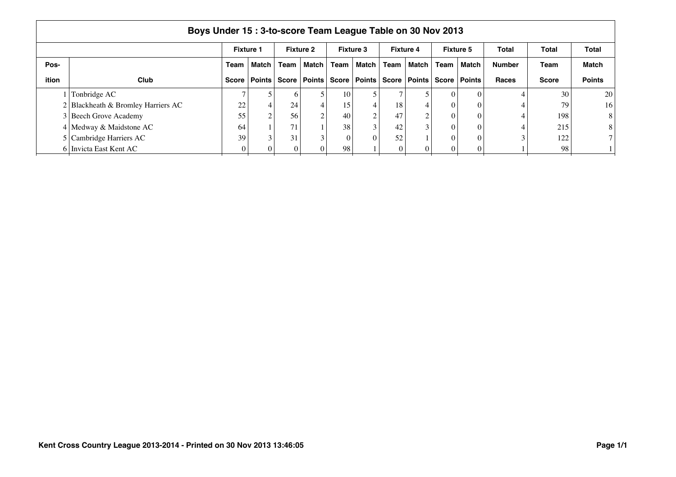| Boys Under 15: 3-to-score Team League Table on 30 Nov 2013 |                                      |      |                  |      |                  |          |                                 |      |                                 |          |                  |               |              |                 |
|------------------------------------------------------------|--------------------------------------|------|------------------|------|------------------|----------|---------------------------------|------|---------------------------------|----------|------------------|---------------|--------------|-----------------|
|                                                            |                                      |      | <b>Fixture 1</b> |      | <b>Fixture 2</b> |          | Fixture 3                       |      | <b>Fixture 4</b>                |          | <b>Fixture 5</b> | Total         | Total        | Total           |
| Pos-                                                       |                                      | Team | Match            | Team | Match            | Team     | Match I                         | Team | Match                           | Team     | Match            | <b>Number</b> | Team         | Match           |
| ition                                                      | Club                                 |      | Score   Points   |      |                  |          | Score   Points   Score   Points |      | Score   Points   Score   Points |          |                  | <b>Races</b>  | <b>Score</b> | <b>Points</b>   |
|                                                            | Tonbridge AC                         |      |                  | 6.   |                  | 10       |                                 |      |                                 | 0        | $\Omega$         |               | 30           | 20              |
|                                                            | $2$ Blackheath & Bromley Harriers AC | 22   | $\overline{4}$   | 24   |                  | 15       | 4                               | 18   |                                 | $\Omega$ | $\Omega$         |               | 79           | 16 <sub>1</sub> |
|                                                            | 3 Beech Grove Academy                | 55   | $\Omega$         | 56   |                  | 40       | $\sim$                          | 47   | $\sim$                          | $\Omega$ |                  |               | 198          | 8               |
|                                                            | 4 Medway & Maidstone AC              | 64   |                  | 71   |                  | 38       |                                 | 42   |                                 |          |                  |               | 215          | 8               |
|                                                            | 5 Cambridge Harriers AC              | 39   | 3                | 31   |                  | $\theta$ | 0                               | 52   |                                 |          |                  |               | 122          |                 |
|                                                            | 6 Invicta East Kent AC               |      | $\Omega$         |      |                  | 98       |                                 |      |                                 |          |                  |               | 98           |                 |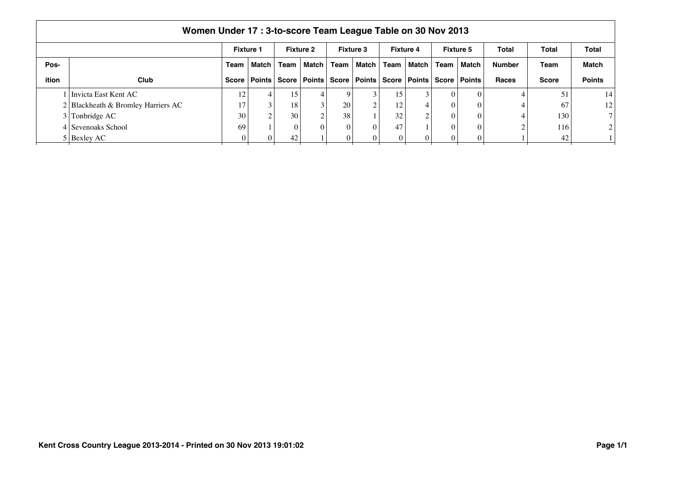|       | Women Under 17: 3-to-score Team League Table on 30 Nov 2013 |                  |                        |      |                  |                 |                         |      |                        |          |                  |               |              |                 |
|-------|-------------------------------------------------------------|------------------|------------------------|------|------------------|-----------------|-------------------------|------|------------------------|----------|------------------|---------------|--------------|-----------------|
|       |                                                             | <b>Fixture 1</b> |                        |      | <b>Fixture 2</b> |                 | <b>Fixture 3</b>        |      | <b>Fixture 4</b>       |          | <b>Fixture 5</b> | Total         | Total        | Total           |
| Pos-  |                                                             | Team             | Match I                | Team | Match I          | Team            | Match                   | Team | Match I                | Team     | Match            | <b>Number</b> | Team         | <b>Match</b>    |
| ition | <b>Club</b>                                                 |                  | Score   Points   Score |      |                  |                 | Points   Score   Points |      | Score   Points   Score |          | Points           | <b>Races</b>  | <b>Score</b> | <b>Points</b>   |
|       | Invicta East Kent AC                                        | 12               | 4                      | 15   |                  | 9               |                         | 15   | 3                      | $\theta$ |                  |               | 51           | 14              |
|       | 2 Blackheath & Bromley Harriers AC                          | 17               | 3                      | 18   | 3                | 20 <sup>1</sup> | $\sim$                  | 12   | 4                      | $\Omega$ |                  |               | 67           | 12 <sub>1</sub> |
|       | $3$ Tonbridge AC                                            | 30 <sub>1</sub>  | $\sim$                 | 30   | $\sim$           | 38 <sub>1</sub> |                         | 32   | 2                      | $\Omega$ |                  |               | 130          | 7 <sub>1</sub>  |
|       | 4 Sevenoaks School                                          | 69               |                        |      | 0                | $\Omega$        |                         | 47   |                        | 0        | $\Omega$         |               | 116          | 2 <sub>1</sub>  |
|       | 5 Bexley AC                                                 |                  |                        | 42   |                  |                 |                         |      | 0                      |          |                  |               | 42           |                 |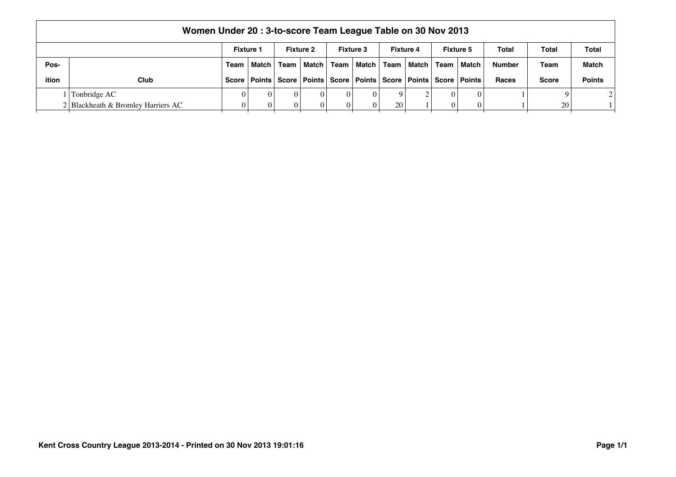|       | Women Under 20: 3-to-score Team League Table on 30 Nov 2013                                                                 |  |              |      |         |    |              |           |          |      |                                                                                    |               |                 |               |
|-------|-----------------------------------------------------------------------------------------------------------------------------|--|--------------|------|---------|----|--------------|-----------|----------|------|------------------------------------------------------------------------------------|---------------|-----------------|---------------|
|       | Total<br><b>Fixture 1</b><br><b>Fixture 3</b><br><b>Fixture 5</b><br>Total<br>Total<br><b>Fixture 2</b><br><b>Fixture 4</b> |  |              |      |         |    |              |           |          |      |                                                                                    |               |                 |               |
| Pos-  |                                                                                                                             |  | Team   Match | Team | Match I |    | Team   Match | Team      | ∣Match I | Team | ∣ Match                                                                            | <b>Number</b> | Team            | <b>Match</b>  |
| ition | Club                                                                                                                        |  |              |      |         |    |              |           |          |      | Score   Points   Score   Points   Score   Points   Score   Points   Score   Points | <b>Races</b>  | <b>Score</b>    | <b>Points</b> |
|       | Tonbridge AC                                                                                                                |  |              |      |         | 0  |              |           |          | 01   |                                                                                    |               |                 |               |
|       | 2 Blackheath & Bromley Harriers AC                                                                                          |  |              |      |         | 01 |              | <b>20</b> |          |      |                                                                                    |               | 20 <sub>1</sub> |               |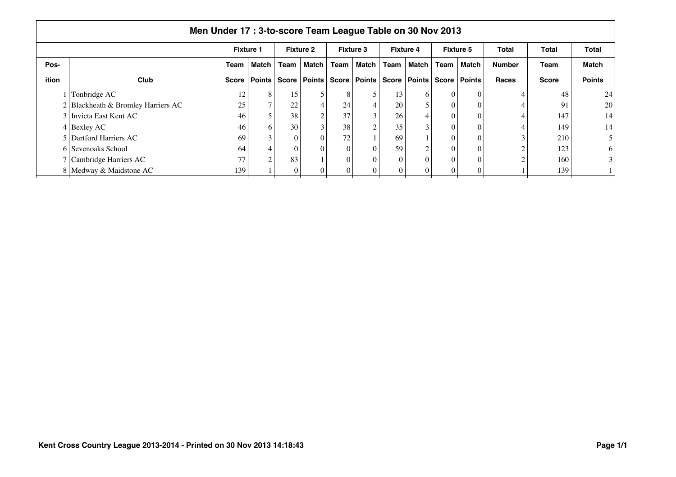|              | Men Under 17 : 3-to-score Team League Table on 30 Nov 2013 |                  |               |              |                  |      |                  |              |                  |          |                  |               |              |                |  |
|--------------|------------------------------------------------------------|------------------|---------------|--------------|------------------|------|------------------|--------------|------------------|----------|------------------|---------------|--------------|----------------|--|
|              |                                                            | <b>Fixture 1</b> |               |              | <b>Fixture 2</b> |      | <b>Fixture 3</b> |              | <b>Fixture 4</b> |          | <b>Fixture 5</b> | Total         | Total        | Total          |  |
| Pos-         |                                                            | Team             | Match I       | Team         | <b>Match</b>     | Team | Match            | Team         | Match I          | Team     | Match            | <b>Number</b> | <b>Team</b>  | <b>Match</b>   |  |
| <b>ition</b> | <b>Club</b>                                                | <b>Score</b>     | <b>Points</b> | <b>Score</b> | <b>Points</b>    |      | Score   Points   | <b>Score</b> | Points Score     |          | <b>Points</b>    | Races         | <b>Score</b> | <b>Points</b>  |  |
|              | Tonbridge AC                                               | 12               | 8             | 15           |                  |      |                  | 13           | 6                | $\Omega$ |                  |               | 48           | 24             |  |
|              | Blackheath & Bromley Harriers AC                           | 25               |               | 22           | 4                | 24   | 4                | 20           | 5                | $\theta$ |                  |               | 91           | 20             |  |
|              | 3 Invicta East Kent AC                                     | 46               |               | 38           | 2                | 37   |                  | 26           | 4                | $\theta$ |                  |               | 147          | 14             |  |
|              | $4$ Bexley AC                                              | 46               | 6             | 30           | 3                | 38   |                  | 35           | 3                | $\Omega$ |                  |               | 149          | 14             |  |
|              | 5 Dartford Harriers AC                                     | 69               | $\sim$        |              | 0                | 72   |                  | 69           |                  | $\Omega$ |                  |               | 210          | 5 <sup>1</sup> |  |
|              | 6 Sevenoaks School                                         | 64               |               |              | 0                |      |                  | 59           | $\overline{2}$   | $\theta$ |                  |               | 123          | 6              |  |
|              | 7 Cambridge Harriers AC                                    | 77               | $\sim$        | 83           |                  |      |                  | $\Omega$     | $\Omega$         | $\Omega$ |                  |               | 160          | $\overline{3}$ |  |
|              | 8 Medway & Maidstone AC                                    | 139              |               |              |                  |      |                  |              | $\theta$         | $\Omega$ |                  |               | 139          |                |  |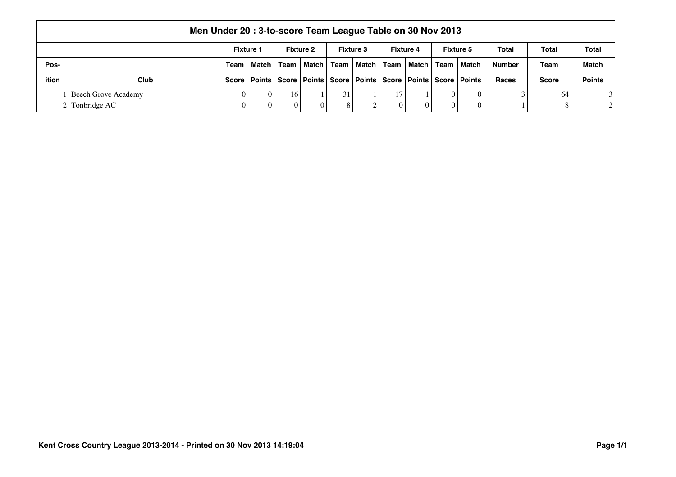|       | Men Under 20: 3-to-score Team League Table on 30 Nov 2013                                                                   |  |                     |                                                                                    |         |    |              |      |           |      |         |               |              |               |
|-------|-----------------------------------------------------------------------------------------------------------------------------|--|---------------------|------------------------------------------------------------------------------------|---------|----|--------------|------|-----------|------|---------|---------------|--------------|---------------|
|       | Total<br><b>Fixture 1</b><br><b>Fixture 2</b><br><b>Fixture 3</b><br><b>Fixture 4</b><br><b>Fixture 5</b><br>Total<br>Total |  |                     |                                                                                    |         |    |              |      |           |      |         |               |              |               |
| Pos-  |                                                                                                                             |  | Team   Match   Team |                                                                                    | Match I |    | Team   Match | Team | ∣ Match I | Team | ∣ Match | <b>Number</b> | Team         | <b>Match</b>  |
| ition | <b>Club</b>                                                                                                                 |  |                     | Score   Points   Score   Points   Score   Points   Score   Points   Score   Points |         |    |              |      |           |      |         | <b>Races</b>  | <b>Score</b> | <b>Points</b> |
|       | Beech Grove Academy                                                                                                         |  |                     | 16.                                                                                |         | 31 |              |      |           |      |         |               | 64           |               |
|       | $2$ Tonbridge AC                                                                                                            |  |                     |                                                                                    |         | 8  |              |      |           | 0 I  |         |               |              | $\gamma$      |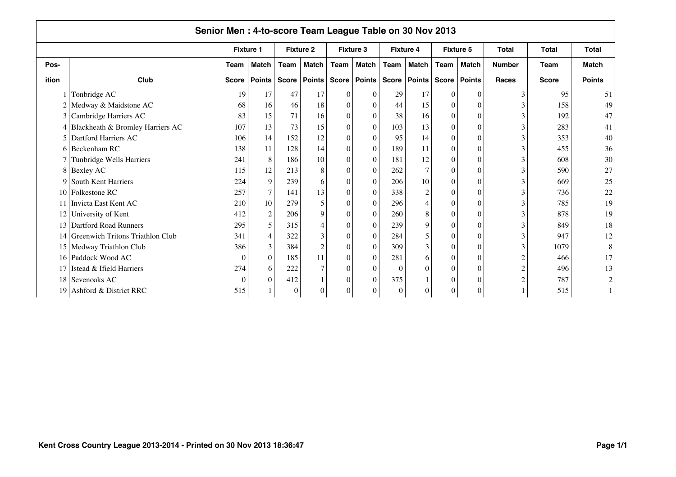| Senior Men: 4-to-score Team League Table on 30 Nov 2013 |                                     |              |                  |              |                  |                  |                  |              |                  |              |                  |               |              |                |
|---------------------------------------------------------|-------------------------------------|--------------|------------------|--------------|------------------|------------------|------------------|--------------|------------------|--------------|------------------|---------------|--------------|----------------|
|                                                         |                                     |              | <b>Fixture 1</b> |              | <b>Fixture 2</b> |                  | <b>Fixture 3</b> |              | <b>Fixture 4</b> |              | <b>Fixture 5</b> | Total         | <b>Total</b> | <b>Total</b>   |
| Pos-                                                    |                                     | <b>Team</b>  | Match            | Team         | <b>Match</b>     | Team             | <b>Match</b>     | Team         | Match            | <b>Team</b>  | Match            | <b>Number</b> | <b>Team</b>  | <b>Match</b>   |
| ition                                                   | Club                                | <b>Score</b> | Points           | <b>Score</b> | <b>Points</b>    |                  | Score   Points   | <b>Score</b> | Points           | <b>Score</b> | <b>Points</b>    | <b>Races</b>  | <b>Score</b> | <b>Points</b>  |
|                                                         | Tonbridge AC                        | 19           | 17               | 47           | 17               | $\theta$         | $\Omega$         | 29           | 17               | 0            | $\Omega$         |               | 95           | 51             |
| $\overline{c}$                                          | Medway & Maidstone AC               | 68           | 16               | 46           | 18               | $\theta$         | $\Omega$         | 44           | 15               | $\Omega$     |                  |               | 158          | 49             |
|                                                         | 3 Cambridge Harriers AC             | 83           | 15               | 71           | 16               | $\boldsymbol{0}$ | $\theta$         | 38           | 16               | $\theta$     | $\Omega$         |               | 192          | 47             |
| 4                                                       | Blackheath & Bromley Harriers AC    | 107          | 13               | 73           | 15               | $\theta$         | $\Omega$         | 103          | 13               | $\theta$     | $\Omega$         |               | 283          | 41             |
| 5                                                       | Dartford Harriers AC                | 106          | 14               | 152          | 12               | $\theta$         | $\Omega$         | 95           | 14               | $\theta$     | $\Omega$         |               | 353          | 40             |
| 6                                                       | Beckenham RC                        | 138          | 11               | 128          | 14               | $\mathbf{0}$     | $\Omega$         | 189          | 11               | $\theta$     | $\Omega$         |               | 455          | 36             |
|                                                         | Tunbridge Wells Harriers            | 241          | 8                | 186          | 10               | $\theta$         | $\Omega$         | 181          | 12               |              | $\bigcap$        |               | 608          | 30             |
| 8                                                       | <b>Bexley AC</b>                    | 115          | 12               | 213          | 8                | $\theta$         |                  | 262          | $\tau$           |              | $\Omega$         |               | 590          | 27             |
| 9                                                       | South Kent Harriers                 | 224          | 9                | 239          | 6                | $\Omega$         | $\Omega$         | 206          | 10               |              | $\bigcap$        |               | 669          | 25             |
| 10 <sup>10</sup>                                        | Folkestone RC                       | 257          | 7 <sub>1</sub>   | 141          | 13               | $\Omega$         | $\Omega$         | 338          | $\sqrt{2}$       |              | $\Omega$         |               | 736          | 22             |
|                                                         | Invicta East Kent AC                | 210          | 10               | 279          | $\overline{5}$   | $\theta$         | $\Omega$         | 296          | 4                | 0            | $\Omega$         |               | 785          | 19             |
| 12                                                      | University of Kent                  | 412          | $\overline{2}$   | 206          | 9                | $\Omega$         | $\Omega$         | 260          | 8                | $\Omega$     | $\Omega$         |               | 878          | 19             |
| 13 <sup>1</sup>                                         | Dartford Road Runners               | 295          | 5                | 315          | 4                | $\boldsymbol{0}$ | $\Omega$         | 239          | 9                | $\Omega$     | $\Omega$         |               | 849          | 18             |
|                                                         | 14 Greenwich Tritons Triathlon Club | 341          | $\overline{4}$   | 322          | 3                | $\boldsymbol{0}$ | $\theta$         | 284          | 5                | $\theta$     | $\Omega$         |               | 947          | 12             |
|                                                         | 15 Medway Triathlon Club            | 386          | 3                | 384          | $\overline{2}$   | $\theta$         | $\theta$         | 309          | 3                | $\theta$     | $\Omega$         |               | 1079         | 8              |
| 16                                                      | Paddock Wood AC                     | $\theta$     | $\boldsymbol{0}$ | 185          | 11               | $\theta$         | $\Omega$         | 281          | 6                | 0            | $\Omega$         |               | 466          | 17             |
| 17                                                      | Istead & Ifield Harriers            | 274          | 6                | 222          | $\overline{7}$   | $\theta$         | $\Omega$         | $\Omega$     | $\theta$         | 0            | $\Omega$         |               | 496          | 13             |
| 18                                                      | Sevenoaks AC                        | $\Omega$     | $\Omega$         | 412          |                  | $\theta$         |                  | 375          |                  |              | $\bigcap$        |               | 787          | $\overline{c}$ |
| 19                                                      | Ashford & District RRC              | 515          |                  | $\Omega$     | 0                | $\theta$         | 0                | $\Omega$     | $\overline{0}$   | $\Omega$     | $\Omega$         |               | 515          |                |